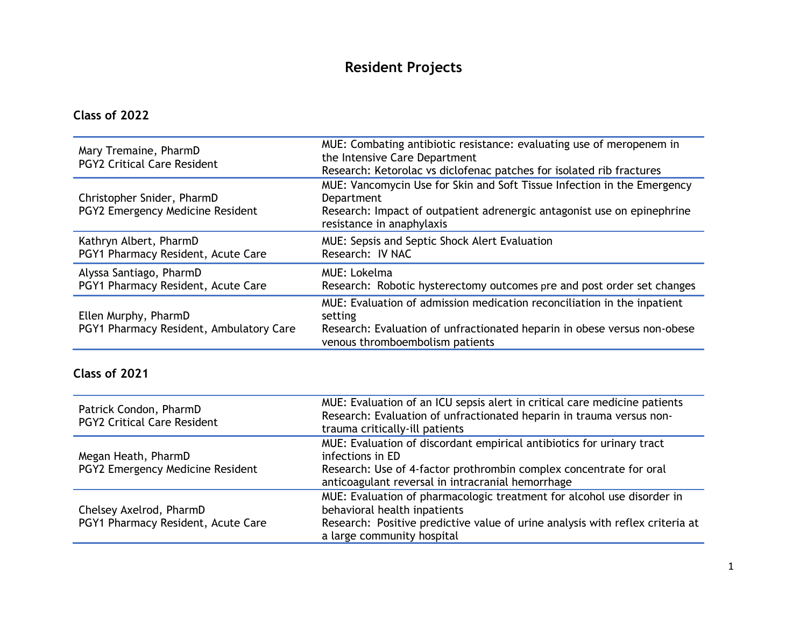# **Resident Projects**

**Class of 2022**

| Mary Tremaine, PharmD<br><b>PGY2 Critical Care Resident</b>     | MUE: Combating antibiotic resistance: evaluating use of meropenem in<br>the Intensive Care Department<br>Research: Ketorolac vs diclofenac patches for isolated rib fractures                     |
|-----------------------------------------------------------------|---------------------------------------------------------------------------------------------------------------------------------------------------------------------------------------------------|
| Christopher Snider, PharmD<br>PGY2 Emergency Medicine Resident  | MUE: Vancomycin Use for Skin and Soft Tissue Infection in the Emergency<br>Department<br>Research: Impact of outpatient adrenergic antagonist use on epinephrine<br>resistance in anaphylaxis     |
| Kathryn Albert, PharmD<br>PGY1 Pharmacy Resident, Acute Care    | MUE: Sepsis and Septic Shock Alert Evaluation<br>Research: IV NAC                                                                                                                                 |
| Alyssa Santiago, PharmD<br>PGY1 Pharmacy Resident, Acute Care   | MUE: Lokelma<br>Research: Robotic hysterectomy outcomes pre and post order set changes                                                                                                            |
| Ellen Murphy, PharmD<br>PGY1 Pharmacy Resident, Ambulatory Care | MUE: Evaluation of admission medication reconciliation in the inpatient<br>setting<br>Research: Evaluation of unfractionated heparin in obese versus non-obese<br>venous thromboembolism patients |

| Patrick Condon, PharmD<br><b>PGY2 Critical Care Resident</b>  | MUE: Evaluation of an ICU sepsis alert in critical care medicine patients<br>Research: Evaluation of unfractionated heparin in trauma versus non-<br>trauma critically-ill patients                                   |
|---------------------------------------------------------------|-----------------------------------------------------------------------------------------------------------------------------------------------------------------------------------------------------------------------|
| Megan Heath, PharmD<br>PGY2 Emergency Medicine Resident       | MUE: Evaluation of discordant empirical antibiotics for urinary tract<br>infections in ED<br>Research: Use of 4-factor prothrombin complex concentrate for oral<br>anticoagulant reversal in intracranial hemorrhage  |
| Chelsey Axelrod, PharmD<br>PGY1 Pharmacy Resident, Acute Care | MUE: Evaluation of pharmacologic treatment for alcohol use disorder in<br>behavioral health inpatients<br>Research: Positive predictive value of urine analysis with reflex criteria at<br>a large community hospital |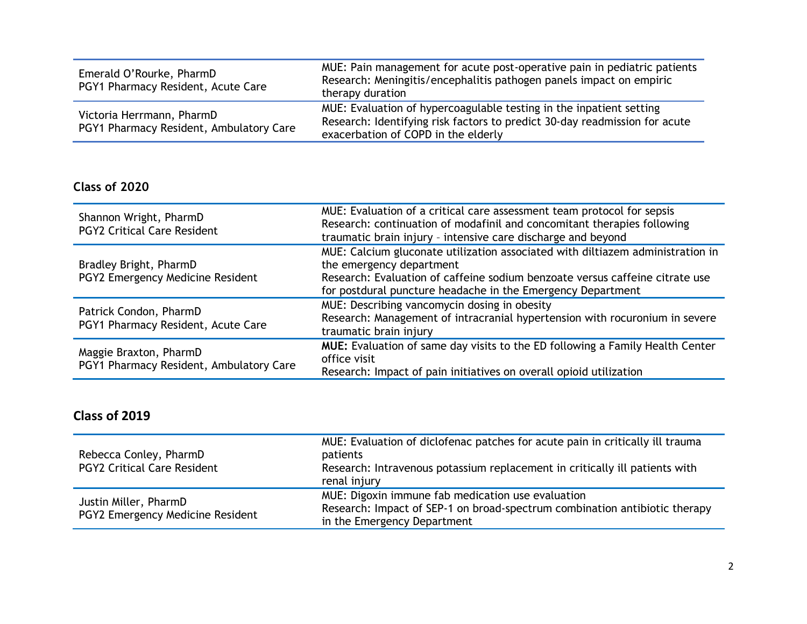| Emerald O'Rourke, PharmD<br>PGY1 Pharmacy Resident, Acute Care       | MUE: Pain management for acute post-operative pain in pediatric patients<br>Research: Meningitis/encephalitis pathogen panels impact on empiric<br>therapy duration                      |
|----------------------------------------------------------------------|------------------------------------------------------------------------------------------------------------------------------------------------------------------------------------------|
| Victoria Herrmann, PharmD<br>PGY1 Pharmacy Resident, Ambulatory Care | MUE: Evaluation of hypercoagulable testing in the inpatient setting<br>Research: Identifying risk factors to predict 30-day readmission for acute<br>exacerbation of COPD in the elderly |

| Shannon Wright, PharmD<br><b>PGY2 Critical Care Resident</b>      | MUE: Evaluation of a critical care assessment team protocol for sepsis<br>Research: continuation of modafinil and concomitant therapies following<br>traumatic brain injury - intensive care discharge and beyond                                         |
|-------------------------------------------------------------------|-----------------------------------------------------------------------------------------------------------------------------------------------------------------------------------------------------------------------------------------------------------|
| Bradley Bright, PharmD<br>PGY2 Emergency Medicine Resident        | MUE: Calcium gluconate utilization associated with diltiazem administration in<br>the emergency department<br>Research: Evaluation of caffeine sodium benzoate versus caffeine citrate use<br>for postdural puncture headache in the Emergency Department |
| Patrick Condon, PharmD<br>PGY1 Pharmacy Resident, Acute Care      | MUE: Describing vancomycin dosing in obesity<br>Research: Management of intracranial hypertension with rocuronium in severe<br>traumatic brain injury                                                                                                     |
| Maggie Braxton, PharmD<br>PGY1 Pharmacy Resident, Ambulatory Care | <b>MUE:</b> Evaluation of same day visits to the ED following a Family Health Center<br>office visit<br>Research: Impact of pain initiatives on overall opioid utilization                                                                                |

| Rebecca Conley, PharmD<br><b>PGY2 Critical Care Resident</b> | MUE: Evaluation of diclofenac patches for acute pain in critically ill trauma<br>patients<br>Research: Intravenous potassium replacement in critically ill patients with<br>renal injury |
|--------------------------------------------------------------|------------------------------------------------------------------------------------------------------------------------------------------------------------------------------------------|
| Justin Miller, PharmD<br>PGY2 Emergency Medicine Resident    | MUE: Digoxin immune fab medication use evaluation<br>Research: Impact of SEP-1 on broad-spectrum combination antibiotic therapy<br>in the Emergency Department                           |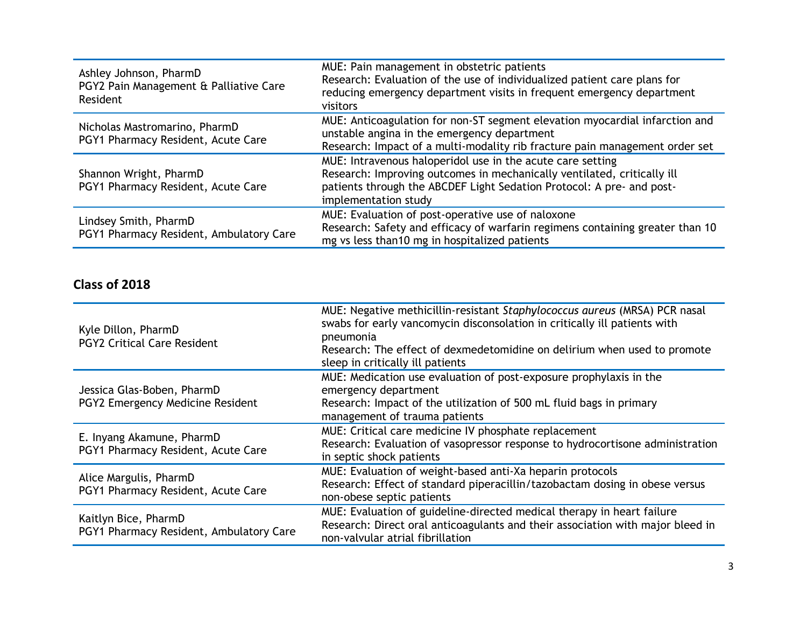| Ashley Johnson, PharmD<br>PGY2 Pain Management & Palliative Care<br>Resident | MUE: Pain management in obstetric patients<br>Research: Evaluation of the use of individualized patient care plans for<br>reducing emergency department visits in frequent emergency department<br>visitors                            |
|------------------------------------------------------------------------------|----------------------------------------------------------------------------------------------------------------------------------------------------------------------------------------------------------------------------------------|
| Nicholas Mastromarino, PharmD<br>PGY1 Pharmacy Resident, Acute Care          | MUE: Anticoagulation for non-ST segment elevation myocardial infarction and<br>unstable angina in the emergency department<br>Research: Impact of a multi-modality rib fracture pain management order set                              |
| Shannon Wright, PharmD<br>PGY1 Pharmacy Resident, Acute Care                 | MUE: Intravenous haloperidol use in the acute care setting<br>Research: Improving outcomes in mechanically ventilated, critically ill<br>patients through the ABCDEF Light Sedation Protocol: A pre- and post-<br>implementation study |
| Lindsey Smith, PharmD<br>PGY1 Pharmacy Resident, Ambulatory Care             | MUE: Evaluation of post-operative use of naloxone<br>Research: Safety and efficacy of warfarin regimens containing greater than 10<br>mg vs less than10 mg in hospitalized patients                                                    |

| Kyle Dillon, PharmD<br><b>PGY2 Critical Care Resident</b>       | MUE: Negative methicillin-resistant Staphylococcus aureus (MRSA) PCR nasal<br>swabs for early vancomycin disconsolation in critically ill patients with<br>pneumonia<br>Research: The effect of dexmedetomidine on delirium when used to promote<br>sleep in critically ill patients |
|-----------------------------------------------------------------|--------------------------------------------------------------------------------------------------------------------------------------------------------------------------------------------------------------------------------------------------------------------------------------|
| Jessica Glas-Boben, PharmD<br>PGY2 Emergency Medicine Resident  | MUE: Medication use evaluation of post-exposure prophylaxis in the<br>emergency department<br>Research: Impact of the utilization of 500 mL fluid bags in primary<br>management of trauma patients                                                                                   |
| E. Inyang Akamune, PharmD<br>PGY1 Pharmacy Resident, Acute Care | MUE: Critical care medicine IV phosphate replacement<br>Research: Evaluation of vasopressor response to hydrocortisone administration<br>in septic shock patients                                                                                                                    |
| Alice Margulis, PharmD<br>PGY1 Pharmacy Resident, Acute Care    | MUE: Evaluation of weight-based anti-Xa heparin protocols<br>Research: Effect of standard piperacillin/tazobactam dosing in obese versus<br>non-obese septic patients                                                                                                                |
| Kaitlyn Bice, PharmD<br>PGY1 Pharmacy Resident, Ambulatory Care | MUE: Evaluation of guideline-directed medical therapy in heart failure<br>Research: Direct oral anticoagulants and their association with major bleed in<br>non-valvular atrial fibrillation                                                                                         |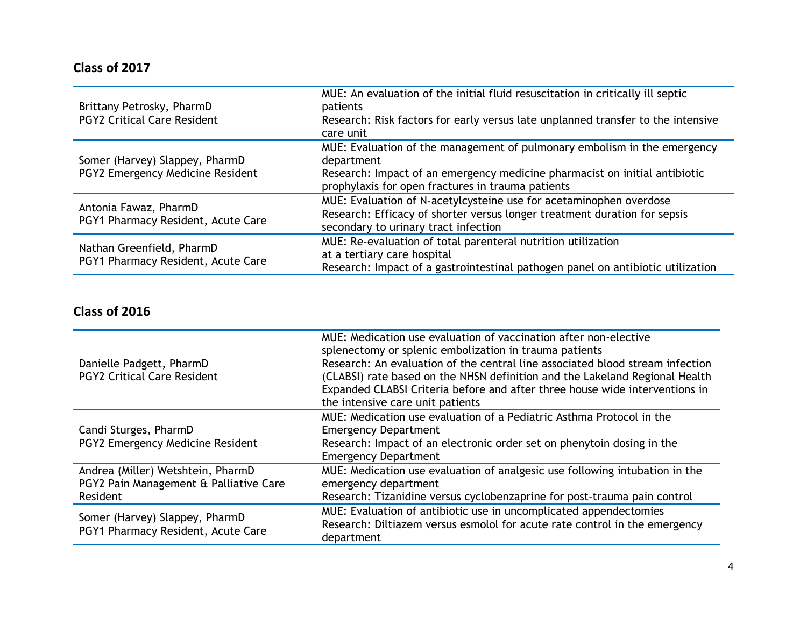| Brittany Petrosky, PharmD<br><b>PGY2 Critical Care Resident</b>    | MUE: An evaluation of the initial fluid resuscitation in critically ill septic<br>patients<br>Research: Risk factors for early versus late unplanned transfer to the intensive<br>care unit                               |
|--------------------------------------------------------------------|---------------------------------------------------------------------------------------------------------------------------------------------------------------------------------------------------------------------------|
| Somer (Harvey) Slappey, PharmD<br>PGY2 Emergency Medicine Resident | MUE: Evaluation of the management of pulmonary embolism in the emergency<br>department<br>Research: Impact of an emergency medicine pharmacist on initial antibiotic<br>prophylaxis for open fractures in trauma patients |
| Antonia Fawaz, PharmD<br>PGY1 Pharmacy Resident, Acute Care        | MUE: Evaluation of N-acetylcysteine use for acetaminophen overdose<br>Research: Efficacy of shorter versus longer treatment duration for sepsis<br>secondary to urinary tract infection                                   |
| Nathan Greenfield, PharmD<br>PGY1 Pharmacy Resident, Acute Care    | MUE: Re-evaluation of total parenteral nutrition utilization<br>at a tertiary care hospital<br>Research: Impact of a gastrointestinal pathogen panel on antibiotic utilization                                            |

| Danielle Padgett, PharmD<br><b>PGY2 Critical Care Resident</b>                          | MUE: Medication use evaluation of vaccination after non-elective<br>splenectomy or splenic embolization in trauma patients<br>Research: An evaluation of the central line associated blood stream infection<br>(CLABSI) rate based on the NHSN definition and the Lakeland Regional Health<br>Expanded CLABSI Criteria before and after three house wide interventions in<br>the intensive care unit patients |
|-----------------------------------------------------------------------------------------|---------------------------------------------------------------------------------------------------------------------------------------------------------------------------------------------------------------------------------------------------------------------------------------------------------------------------------------------------------------------------------------------------------------|
| Candi Sturges, PharmD<br>PGY2 Emergency Medicine Resident                               | MUE: Medication use evaluation of a Pediatric Asthma Protocol in the<br><b>Emergency Department</b><br>Research: Impact of an electronic order set on phenytoin dosing in the<br><b>Emergency Department</b>                                                                                                                                                                                                  |
| Andrea (Miller) Wetshtein, PharmD<br>PGY2 Pain Management & Palliative Care<br>Resident | MUE: Medication use evaluation of analgesic use following intubation in the<br>emergency department<br>Research: Tizanidine versus cyclobenzaprine for post-trauma pain control                                                                                                                                                                                                                               |
| Somer (Harvey) Slappey, PharmD<br>PGY1 Pharmacy Resident, Acute Care                    | MUE: Evaluation of antibiotic use in uncomplicated appendectomies<br>Research: Diltiazem versus esmolol for acute rate control in the emergency<br>department                                                                                                                                                                                                                                                 |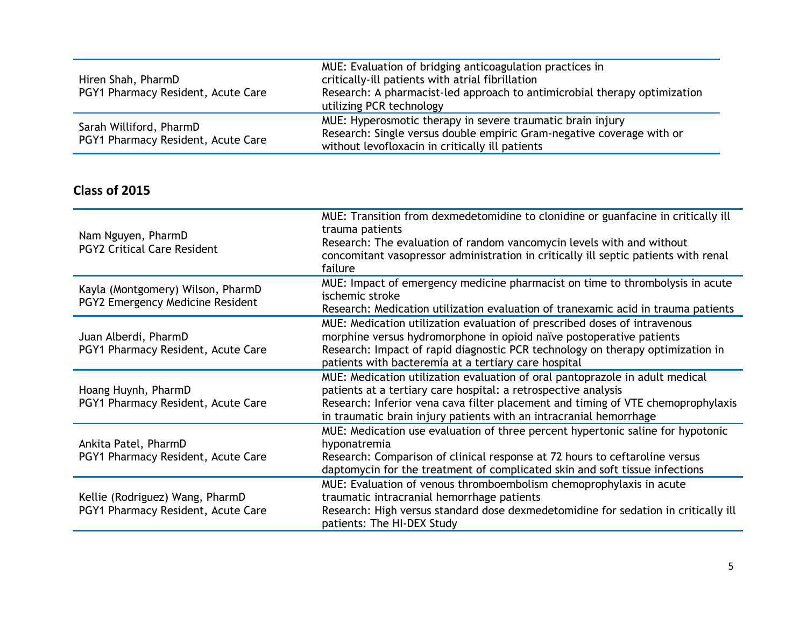| Hiren Shah, PharmD<br>PGY1 Pharmacy Resident, Acute Care      | MUE: Evaluation of bridging anticoagulation practices in<br>critically-ill patients with atrial fibrillation<br>Research: A pharmacist-led approach to antimicrobial therapy optimization<br>utilizing PCR technology |
|---------------------------------------------------------------|-----------------------------------------------------------------------------------------------------------------------------------------------------------------------------------------------------------------------|
| Sarah Williford, PharmD<br>PGY1 Pharmacy Resident, Acute Care | MUE: Hyperosmotic therapy in severe traumatic brain injury<br>Research: Single versus double empiric Gram-negative coverage with or<br>without levofloxacin in critically ill patients                                |

| Nam Nguyen, PharmD<br><b>PGY2 Critical Care Resident</b>              | MUE: Transition from dexmedetomidine to clonidine or guanfacine in critically ill<br>trauma patients<br>Research: The evaluation of random vancomycin levels with and without<br>concomitant vasopressor administration in critically ill septic patients with renal<br>failure                          |
|-----------------------------------------------------------------------|----------------------------------------------------------------------------------------------------------------------------------------------------------------------------------------------------------------------------------------------------------------------------------------------------------|
| Kayla (Montgomery) Wilson, PharmD<br>PGY2 Emergency Medicine Resident | MUE: Impact of emergency medicine pharmacist on time to thrombolysis in acute<br>ischemic stroke<br>Research: Medication utilization evaluation of tranexamic acid in trauma patients                                                                                                                    |
| Juan Alberdi, PharmD<br>PGY1 Pharmacy Resident, Acute Care            | MUE: Medication utilization evaluation of prescribed doses of intravenous<br>morphine versus hydromorphone in opioid naïve postoperative patients<br>Research: Impact of rapid diagnostic PCR technology on therapy optimization in<br>patients with bacteremia at a tertiary care hospital              |
| Hoang Huynh, PharmD<br>PGY1 Pharmacy Resident, Acute Care             | MUE: Medication utilization evaluation of oral pantoprazole in adult medical<br>patients at a tertiary care hospital: a retrospective analysis<br>Research: Inferior vena cava filter placement and timing of VTE chemoprophylaxis<br>in traumatic brain injury patients with an intracranial hemorrhage |
| Ankita Patel, PharmD<br>PGY1 Pharmacy Resident, Acute Care            | MUE: Medication use evaluation of three percent hypertonic saline for hypotonic<br>hyponatremia<br>Research: Comparison of clinical response at 72 hours to ceftaroline versus<br>daptomycin for the treatment of complicated skin and soft tissue infections                                            |
| Kellie (Rodriguez) Wang, PharmD<br>PGY1 Pharmacy Resident, Acute Care | MUE: Evaluation of venous thromboembolism chemoprophylaxis in acute<br>traumatic intracranial hemorrhage patients<br>Research: High versus standard dose dexmedetomidine for sedation in critically ill<br>patients: The HI-DEX Study                                                                    |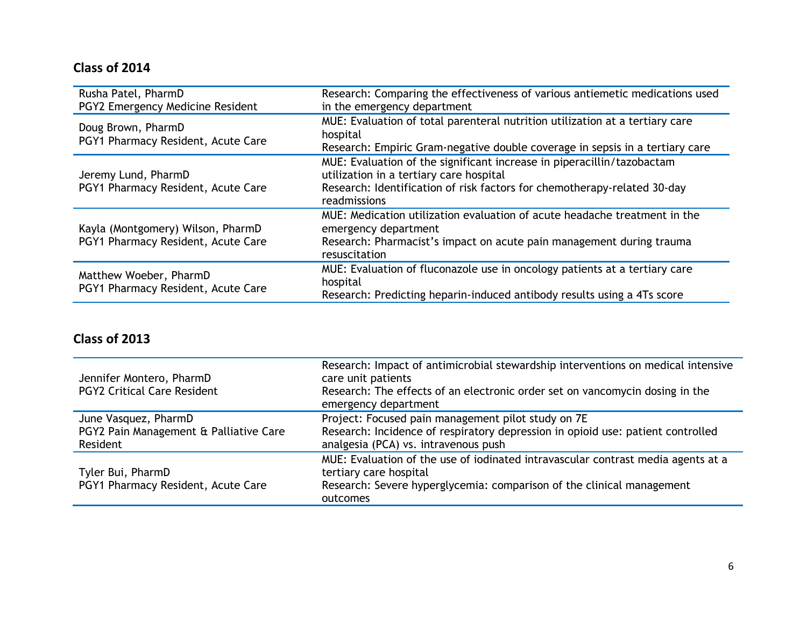| Rusha Patel, PharmD<br>PGY2 Emergency Medicine Resident                 | Research: Comparing the effectiveness of various antiemetic medications used<br>in the emergency department                                                                                                   |
|-------------------------------------------------------------------------|---------------------------------------------------------------------------------------------------------------------------------------------------------------------------------------------------------------|
| Doug Brown, PharmD<br>PGY1 Pharmacy Resident, Acute Care                | MUE: Evaluation of total parenteral nutrition utilization at a tertiary care<br>hospital<br>Research: Empiric Gram-negative double coverage in sepsis in a tertiary care                                      |
| Jeremy Lund, PharmD<br>PGY1 Pharmacy Resident, Acute Care               | MUE: Evaluation of the significant increase in piperacillin/tazobactam<br>utilization in a tertiary care hospital<br>Research: Identification of risk factors for chemotherapy-related 30-day<br>readmissions |
| Kayla (Montgomery) Wilson, PharmD<br>PGY1 Pharmacy Resident, Acute Care | MUE: Medication utilization evaluation of acute headache treatment in the<br>emergency department<br>Research: Pharmacist's impact on acute pain management during trauma<br>resuscitation                    |
| Matthew Woeber, PharmD<br>PGY1 Pharmacy Resident, Acute Care            | MUE: Evaluation of fluconazole use in oncology patients at a tertiary care<br>hospital<br>Research: Predicting heparin-induced antibody results using a 4Ts score                                             |

| Jennifer Montero, PharmD<br><b>PGY2 Critical Care Resident</b>             | Research: Impact of antimicrobial stewardship interventions on medical intensive<br>care unit patients<br>Research: The effects of an electronic order set on vancomycin dosing in the<br>emergency department |
|----------------------------------------------------------------------------|----------------------------------------------------------------------------------------------------------------------------------------------------------------------------------------------------------------|
| June Vasquez, PharmD<br>PGY2 Pain Management & Palliative Care<br>Resident | Project: Focused pain management pilot study on 7E<br>Research: Incidence of respiratory depression in opioid use: patient controlled<br>analgesia (PCA) vs. intravenous push                                  |
| Tyler Bui, PharmD<br>PGY1 Pharmacy Resident, Acute Care                    | MUE: Evaluation of the use of iodinated intravascular contrast media agents at a<br>tertiary care hospital<br>Research: Severe hyperglycemia: comparison of the clinical management<br>outcomes                |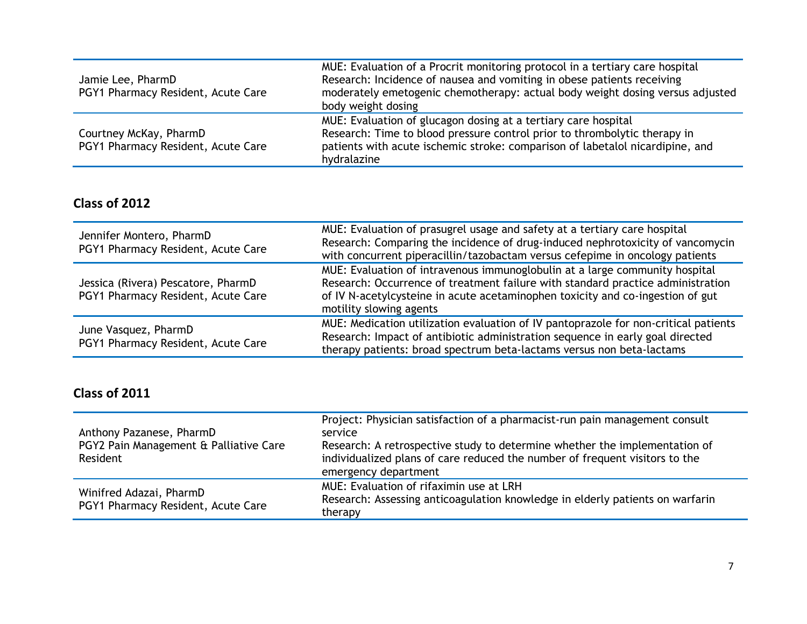| Jamie Lee, PharmD<br>PGY1 Pharmacy Resident, Acute Care      | MUE: Evaluation of a Procrit monitoring protocol in a tertiary care hospital<br>Research: Incidence of nausea and vomiting in obese patients receiving<br>moderately emetogenic chemotherapy: actual body weight dosing versus adjusted<br>body weight dosing |
|--------------------------------------------------------------|---------------------------------------------------------------------------------------------------------------------------------------------------------------------------------------------------------------------------------------------------------------|
| Courtney McKay, PharmD<br>PGY1 Pharmacy Resident, Acute Care | MUE: Evaluation of glucagon dosing at a tertiary care hospital<br>Research: Time to blood pressure control prior to thrombolytic therapy in<br>patients with acute ischemic stroke: comparison of labetalol nicardipine, and<br>hydralazine                   |

| Jennifer Montero, PharmD<br>PGY1 Pharmacy Resident, Acute Care           | MUE: Evaluation of prasugrel usage and safety at a tertiary care hospital<br>Research: Comparing the incidence of drug-induced nephrotoxicity of vancomycin<br>with concurrent piperacillin/tazobactam versus cefepime in oncology patients                                 |
|--------------------------------------------------------------------------|-----------------------------------------------------------------------------------------------------------------------------------------------------------------------------------------------------------------------------------------------------------------------------|
| Jessica (Rivera) Pescatore, PharmD<br>PGY1 Pharmacy Resident, Acute Care | MUE: Evaluation of intravenous immunoglobulin at a large community hospital<br>Research: Occurrence of treatment failure with standard practice administration<br>of IV N-acetylcysteine in acute acetaminophen toxicity and co-ingestion of gut<br>motility slowing agents |
| June Vasquez, PharmD<br>PGY1 Pharmacy Resident, Acute Care               | MUE: Medication utilization evaluation of IV pantoprazole for non-critical patients<br>Research: Impact of antibiotic administration sequence in early goal directed<br>therapy patients: broad spectrum beta-lactams versus non beta-lactams                               |

| Anthony Pazanese, PharmD<br>PGY2 Pain Management & Palliative Care<br>Resident | Project: Physician satisfaction of a pharmacist-run pain management consult<br>service<br>Research: A retrospective study to determine whether the implementation of<br>individualized plans of care reduced the number of frequent visitors to the<br>emergency department |
|--------------------------------------------------------------------------------|-----------------------------------------------------------------------------------------------------------------------------------------------------------------------------------------------------------------------------------------------------------------------------|
| Winifred Adazai, PharmD<br>PGY1 Pharmacy Resident, Acute Care                  | MUE: Evaluation of rifaximin use at LRH<br>Research: Assessing anticoagulation knowledge in elderly patients on warfarin<br>therapy                                                                                                                                         |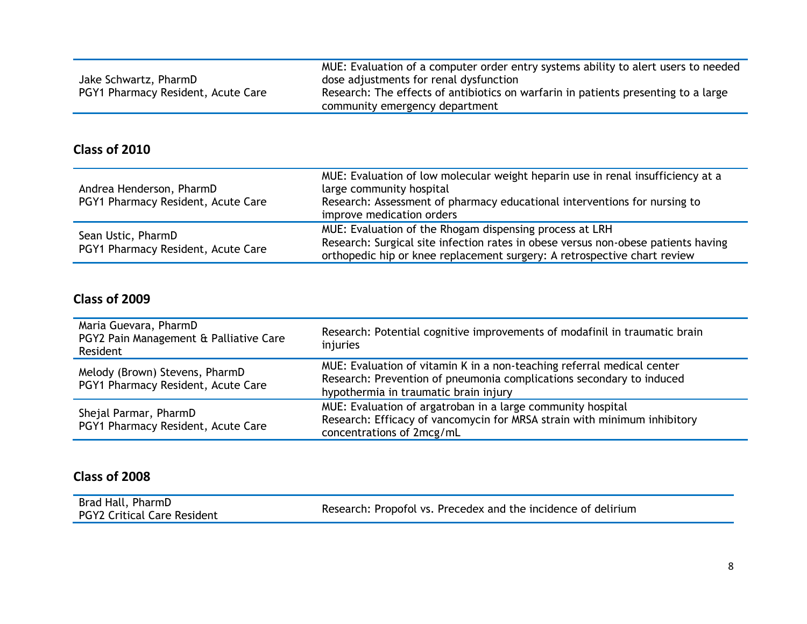| Jake Schwartz, PharmD<br>PGY1 Pharmacy Resident, Acute Care | MUE: Evaluation of a computer order entry systems ability to alert users to needed<br>dose adjustments for renal dysfunction<br>Research: The effects of antibiotics on warfarin in patients presenting to a large<br>community emergency department |
|-------------------------------------------------------------|------------------------------------------------------------------------------------------------------------------------------------------------------------------------------------------------------------------------------------------------------|
|                                                             |                                                                                                                                                                                                                                                      |

| Andrea Henderson, PharmD<br>PGY1 Pharmacy Resident, Acute Care | MUE: Evaluation of low molecular weight heparin use in renal insufficiency at a<br>large community hospital<br>Research: Assessment of pharmacy educational interventions for nursing to<br>improve medication orders    |
|----------------------------------------------------------------|--------------------------------------------------------------------------------------------------------------------------------------------------------------------------------------------------------------------------|
| Sean Ustic, PharmD<br>PGY1 Pharmacy Resident, Acute Care       | MUE: Evaluation of the Rhogam dispensing process at LRH<br>Research: Surgical site infection rates in obese versus non-obese patients having<br>orthopedic hip or knee replacement surgery: A retrospective chart review |

### **Class of 2009**

| Maria Guevara, PharmD<br>PGY2 Pain Management & Palliative Care<br>Resident | Research: Potential cognitive improvements of modafinil in traumatic brain<br>injuries                                                                                                  |
|-----------------------------------------------------------------------------|-----------------------------------------------------------------------------------------------------------------------------------------------------------------------------------------|
| Melody (Brown) Stevens, PharmD<br>PGY1 Pharmacy Resident, Acute Care        | MUE: Evaluation of vitamin K in a non-teaching referral medical center<br>Research: Prevention of pneumonia complications secondary to induced<br>hypothermia in traumatic brain injury |
| Shejal Parmar, PharmD<br>PGY1 Pharmacy Resident, Acute Care                 | MUE: Evaluation of argatroban in a large community hospital<br>Research: Efficacy of vancomycin for MRSA strain with minimum inhibitory<br>concentrations of 2mcg/mL                    |

| Brad Hall, PharmD                  | Research: Propofol vs. Precedex and the incidence of delirium |
|------------------------------------|---------------------------------------------------------------|
| <b>PGY2 Critical Care Resident</b> |                                                               |